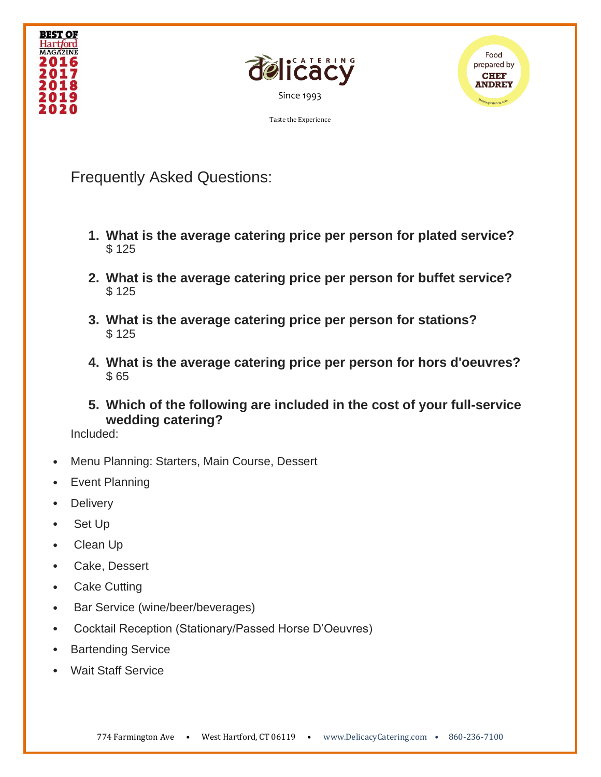





Frequently Asked Questions:

- **1. What is the average catering price per person for plated service?** \$ 125
- **2. What is the average catering price per person for buffet service?** \$ 125
- **3. What is the average catering price per person for stations?** \$ 125
- **4. What is the average catering price per person for hors d'oeuvres?** \$ 65
- **5. Which of the following are included in the cost of your full-service wedding catering?**

Included:

- Menu Planning: Starters, Main Course, Dessert
- Event Planning
- Delivery
- Set Up
- Clean Up
- Cake, Dessert
- Cake Cutting
- Bar Service (wine/beer/beverages)
- Cocktail Reception (Stationary/Passed Horse D'Oeuvres)
- **Bartending Service**
- Wait Staff Service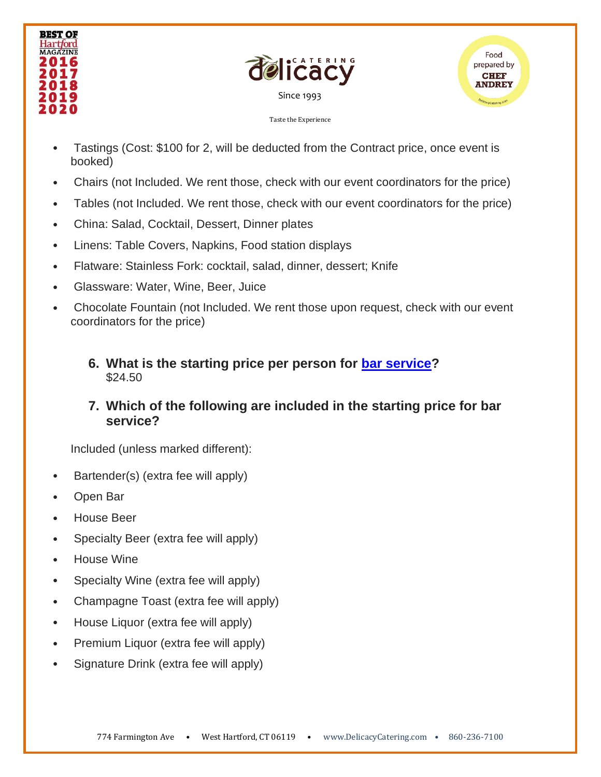





- Tastings (Cost: \$100 for 2, will be deducted from the Contract price, once event is booked)
- Chairs (not Included. We rent those, check with our event coordinators for the price)
- Tables (not Included. We rent those, check with our event coordinators for the price)
- China: Salad, Cocktail, Dessert, Dinner plates
- Linens: Table Covers, Napkins, Food station displays
- Flatware: Stainless Fork: cocktail, salad, dinner, dessert; Knife
- Glassware: Water, Wine, Beer, Juice
- Chocolate Fountain (not Included. We rent those upon request, check with our event coordinators for the price)
	- **6. What is the starting price per person for [bar service?](https://f82b6117-6dac-4e04-921e-5bfcd1f57651.filesusr.com/ugd/d0c408_47b4ffa77c274ec8b0c89242a6199432.pdf)** \$24.50
	- **7. Which of the following are included in the starting price for bar service?**

Included (unless marked different):

- Bartender(s) (extra fee will apply)
- Open Bar
- House Beer
- Specialty Beer (extra fee will apply)
- House Wine
- Specialty Wine (extra fee will apply)
- Champagne Toast (extra fee will apply)
- House Liquor (extra fee will apply)
- Premium Liquor (extra fee will apply)
- Signature Drink (extra fee will apply)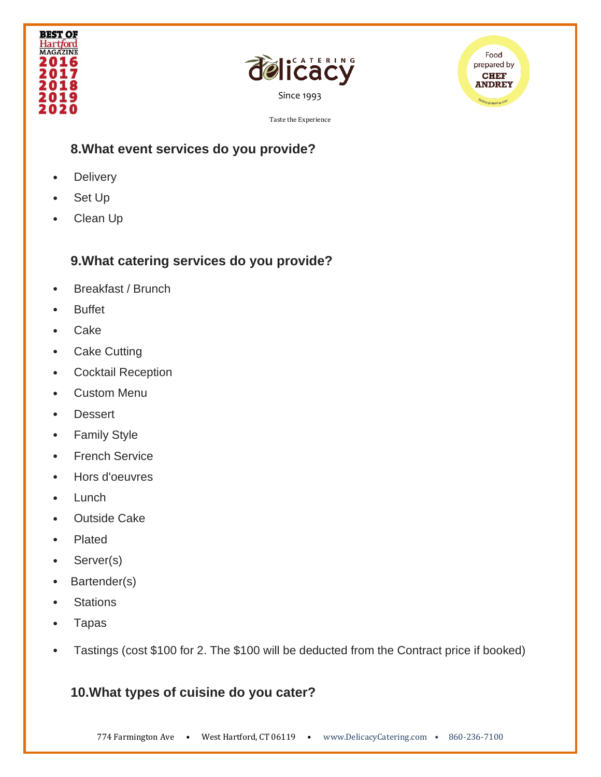





#### **8.What event services do you provide?**

- Delivery
- Set Up
- Clean Up

# **9.What catering services do you provide?**

- Breakfast / Brunch
- Buffet
- Cake
- Cake Cutting
- Cocktail Reception
- Custom Menu
- Dessert
- Family Style
- French Service
- Hors d'oeuvres
- Lunch
- Outside Cake
- Plated
- Server(s)
- Bartender(s)
- Stations
- Tapas
- Tastings (cost \$100 for 2. The \$100 will be deducted from the Contract price if booked)

# **10.What types of cuisine do you cater?**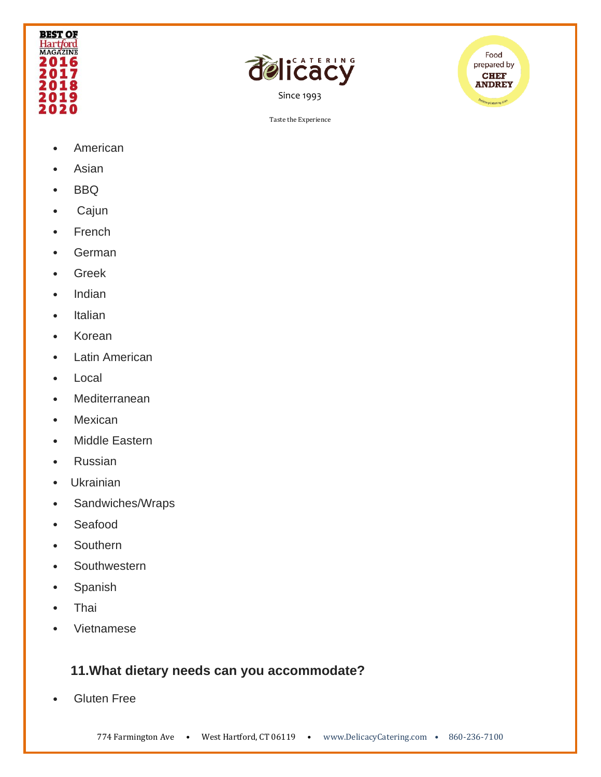





- **American**
- Asian
- BBQ
- Cajun
- French
- German
- Greek
- Indian
- Italian
- Korean
- **Latin American**
- **Local**
- **Mediterranean**
- Mexican
- Middle Eastern
- Russian
- Ukrainian
- Sandwiches/Wraps
- Seafood
- Southern
- Southwestern
- Spanish
- Thai
- Vietnamese

# **11.What dietary needs can you accommodate?**

• Gluten Free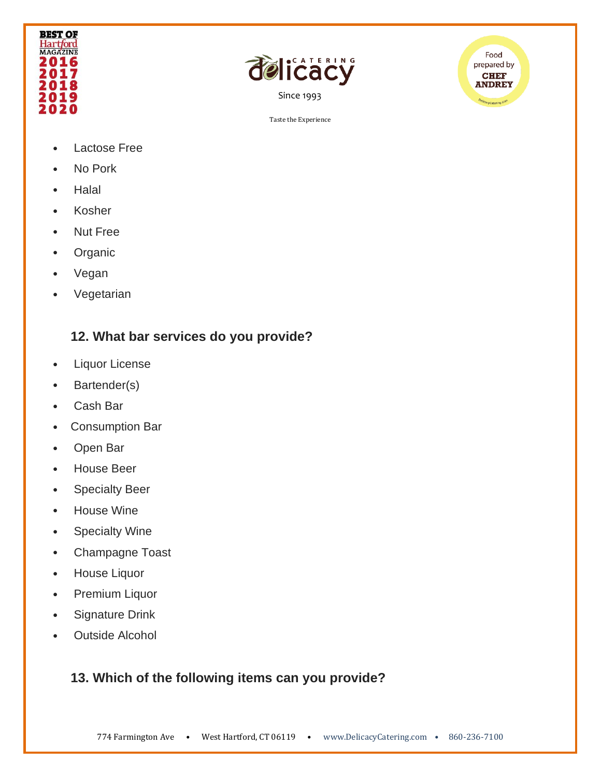





- Lactose Free
- No Pork
- Halal
- Kosher
- Nut Free
- Organic
- Vegan
- Vegetarian

#### **12. What bar services do you provide?**

- Liquor License
- Bartender(s)
- Cash Bar
- Consumption Bar
- Open Bar
- House Beer
- Specialty Beer
- House Wine
- Specialty Wine
- Champagne Toast
- House Liquor
- Premium Liquor
- Signature Drink
- Outside Alcohol

# **13. Which of the following items can you provide?**